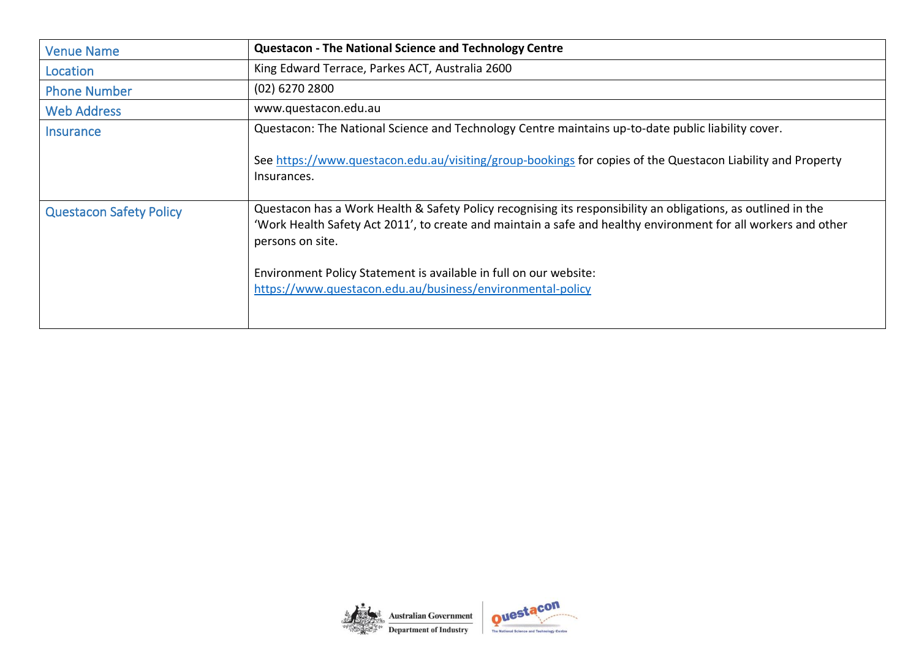| <b>Venue Name</b>              | <b>Questacon - The National Science and Technology Centre</b>                                                                                                                                                                                                                                                            |  |  |  |  |  |
|--------------------------------|--------------------------------------------------------------------------------------------------------------------------------------------------------------------------------------------------------------------------------------------------------------------------------------------------------------------------|--|--|--|--|--|
| Location                       | King Edward Terrace, Parkes ACT, Australia 2600                                                                                                                                                                                                                                                                          |  |  |  |  |  |
| <b>Phone Number</b>            | (02) 6270 2800                                                                                                                                                                                                                                                                                                           |  |  |  |  |  |
| <b>Web Address</b>             | www.questacon.edu.au                                                                                                                                                                                                                                                                                                     |  |  |  |  |  |
| <b>Insurance</b>               | Questacon: The National Science and Technology Centre maintains up-to-date public liability cover.                                                                                                                                                                                                                       |  |  |  |  |  |
|                                | See https://www.questacon.edu.au/visiting/group-bookings for copies of the Questacon Liability and Property<br>Insurances.                                                                                                                                                                                               |  |  |  |  |  |
| <b>Questacon Safety Policy</b> | Questacon has a Work Health & Safety Policy recognising its responsibility an obligations, as outlined in the<br>'Work Health Safety Act 2011', to create and maintain a safe and healthy environment for all workers and other<br>persons on site.<br>Environment Policy Statement is available in full on our website: |  |  |  |  |  |
|                                | https://www.questacon.edu.au/business/environmental-policy                                                                                                                                                                                                                                                               |  |  |  |  |  |

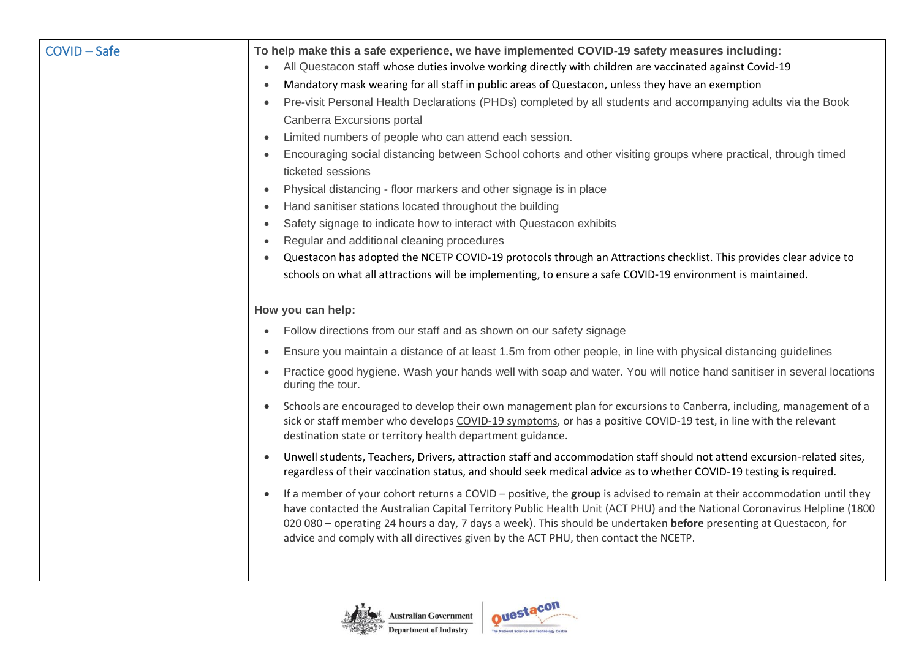| <b>COVID-Safe</b> | To help make this a safe experience, we have implemented COVID-19 safety measures including:<br>All Questacon staff whose duties involve working directly with children are vaccinated against Covid-19<br>$\bullet$<br>Mandatory mask wearing for all staff in public areas of Questacon, unless they have an exemption<br>$\bullet$<br>Pre-visit Personal Health Declarations (PHDs) completed by all students and accompanying adults via the Book<br>$\bullet$<br>Canberra Excursions portal<br>Limited numbers of people who can attend each session.<br>$\bullet$<br>Encouraging social distancing between School cohorts and other visiting groups where practical, through timed<br>$\bullet$<br>ticketed sessions<br>Physical distancing - floor markers and other signage is in place<br>$\bullet$<br>Hand sanitiser stations located throughout the building<br>$\bullet$<br>Safety signage to indicate how to interact with Questacon exhibits<br>Regular and additional cleaning procedures<br>$\bullet$<br>Questacon has adopted the NCETP COVID-19 protocols through an Attractions checklist. This provides clear advice to<br>schools on what all attractions will be implementing, to ensure a safe COVID-19 environment is maintained.                                                                                                                                                                                          |
|-------------------|----------------------------------------------------------------------------------------------------------------------------------------------------------------------------------------------------------------------------------------------------------------------------------------------------------------------------------------------------------------------------------------------------------------------------------------------------------------------------------------------------------------------------------------------------------------------------------------------------------------------------------------------------------------------------------------------------------------------------------------------------------------------------------------------------------------------------------------------------------------------------------------------------------------------------------------------------------------------------------------------------------------------------------------------------------------------------------------------------------------------------------------------------------------------------------------------------------------------------------------------------------------------------------------------------------------------------------------------------------------------------------------------------------------------------------------------------|
|                   | How you can help:<br>Follow directions from our staff and as shown on our safety signage<br>Ensure you maintain a distance of at least 1.5m from other people, in line with physical distancing guidelines<br>$\bullet$<br>Practice good hygiene. Wash your hands well with soap and water. You will notice hand sanitiser in several locations<br>$\bullet$<br>during the tour.<br>Schools are encouraged to develop their own management plan for excursions to Canberra, including, management of a<br>$\bullet$<br>sick or staff member who develops COVID-19 symptoms, or has a positive COVID-19 test, in line with the relevant<br>destination state or territory health department guidance.<br>Unwell students, Teachers, Drivers, attraction staff and accommodation staff should not attend excursion-related sites,<br>$\bullet$<br>regardless of their vaccination status, and should seek medical advice as to whether COVID-19 testing is required.<br>If a member of your cohort returns a COVID - positive, the group is advised to remain at their accommodation until they<br>$\bullet$<br>have contacted the Australian Capital Territory Public Health Unit (ACT PHU) and the National Coronavirus Helpline (1800<br>020 080 - operating 24 hours a day, 7 days a week). This should be undertaken before presenting at Questacon, for<br>advice and comply with all directives given by the ACT PHU, then contact the NCETP. |

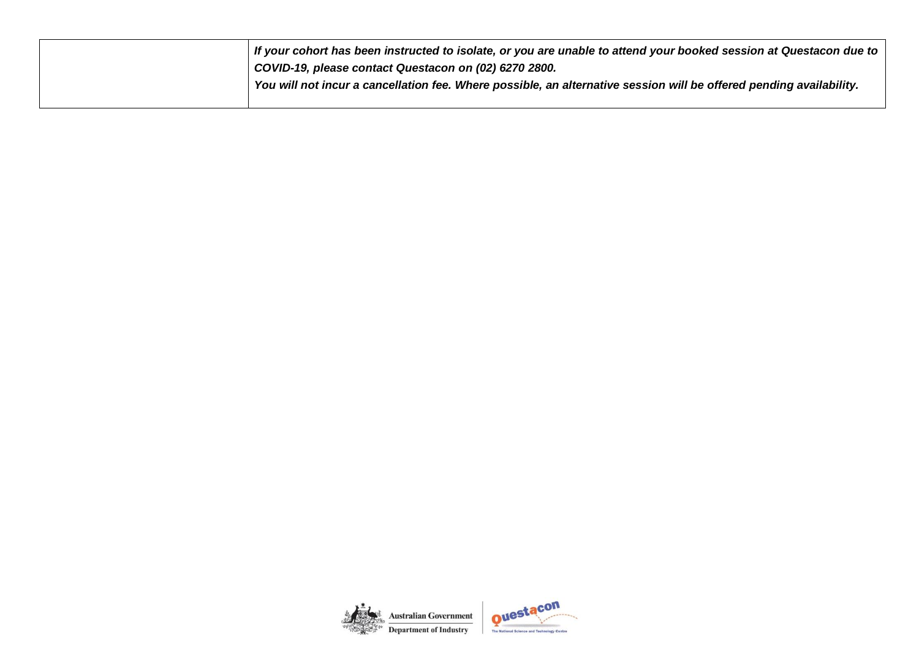| $\mathsf I$ If your cohort has been instructed to isolate, or you are unable to attend your booked session at Questacon due to |
|--------------------------------------------------------------------------------------------------------------------------------|
| COVID-19, please contact Questacon on (02) 6270 2800.                                                                          |
| You will not incur a cancellation fee. Where possible, an alternative session will be offered pending availability.            |
|                                                                                                                                |

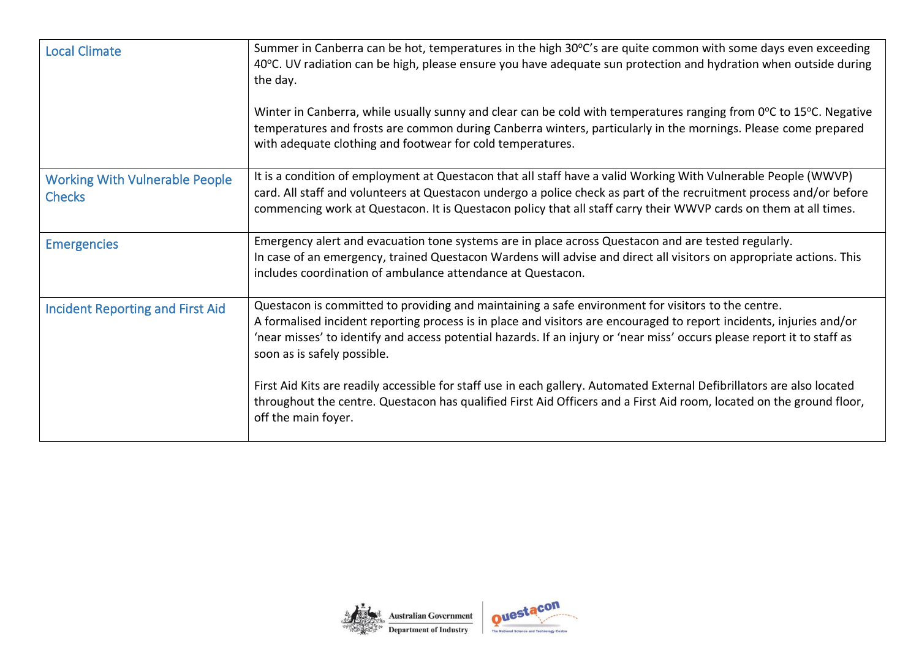| <b>Local Climate</b>                                   | Summer in Canberra can be hot, temperatures in the high 30°C's are quite common with some days even exceeding<br>40°C. UV radiation can be high, please ensure you have adequate sun protection and hydration when outside during<br>the day.<br>Winter in Canberra, while usually sunny and clear can be cold with temperatures ranging from 0°C to 15°C. Negative<br>temperatures and frosts are common during Canberra winters, particularly in the mornings. Please come prepared<br>with adequate clothing and footwear for cold temperatures. |
|--------------------------------------------------------|-----------------------------------------------------------------------------------------------------------------------------------------------------------------------------------------------------------------------------------------------------------------------------------------------------------------------------------------------------------------------------------------------------------------------------------------------------------------------------------------------------------------------------------------------------|
| <b>Working With Vulnerable People</b><br><b>Checks</b> | It is a condition of employment at Questacon that all staff have a valid Working With Vulnerable People (WWVP)<br>card. All staff and volunteers at Questacon undergo a police check as part of the recruitment process and/or before<br>commencing work at Questacon. It is Questacon policy that all staff carry their WWVP cards on them at all times.                                                                                                                                                                                           |
| <b>Emergencies</b>                                     | Emergency alert and evacuation tone systems are in place across Questacon and are tested regularly.<br>In case of an emergency, trained Questacon Wardens will advise and direct all visitors on appropriate actions. This<br>includes coordination of ambulance attendance at Questacon.                                                                                                                                                                                                                                                           |
| <b>Incident Reporting and First Aid</b>                | Questacon is committed to providing and maintaining a safe environment for visitors to the centre.<br>A formalised incident reporting process is in place and visitors are encouraged to report incidents, injuries and/or<br>'near misses' to identify and access potential hazards. If an injury or 'near miss' occurs please report it to staff as<br>soon as is safely possible.                                                                                                                                                                |
|                                                        | First Aid Kits are readily accessible for staff use in each gallery. Automated External Defibrillators are also located<br>throughout the centre. Questacon has qualified First Aid Officers and a First Aid room, located on the ground floor,<br>off the main foyer.                                                                                                                                                                                                                                                                              |

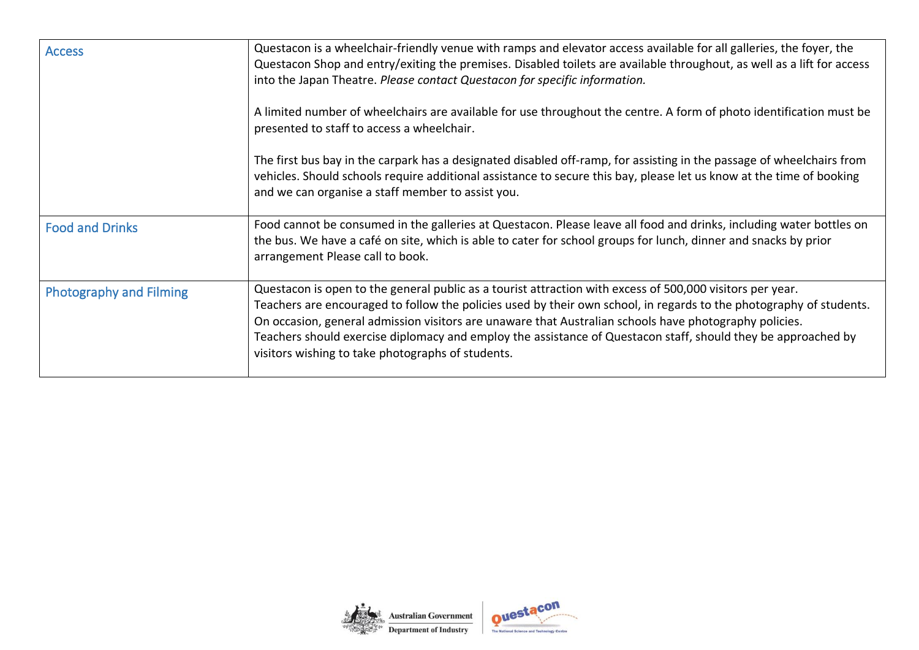| <b>Access</b>                  | Questacon is a wheelchair-friendly venue with ramps and elevator access available for all galleries, the foyer, the<br>Questacon Shop and entry/exiting the premises. Disabled toilets are available throughout, as well as a lift for access<br>into the Japan Theatre. Please contact Questacon for specific information.                                                                                                                                                                                      |  |  |  |  |
|--------------------------------|------------------------------------------------------------------------------------------------------------------------------------------------------------------------------------------------------------------------------------------------------------------------------------------------------------------------------------------------------------------------------------------------------------------------------------------------------------------------------------------------------------------|--|--|--|--|
|                                | A limited number of wheelchairs are available for use throughout the centre. A form of photo identification must be<br>presented to staff to access a wheelchair.                                                                                                                                                                                                                                                                                                                                                |  |  |  |  |
|                                | The first bus bay in the carpark has a designated disabled off-ramp, for assisting in the passage of wheelchairs from<br>vehicles. Should schools require additional assistance to secure this bay, please let us know at the time of booking<br>and we can organise a staff member to assist you.                                                                                                                                                                                                               |  |  |  |  |
| <b>Food and Drinks</b>         | Food cannot be consumed in the galleries at Questacon. Please leave all food and drinks, including water bottles on<br>the bus. We have a café on site, which is able to cater for school groups for lunch, dinner and snacks by prior<br>arrangement Please call to book.                                                                                                                                                                                                                                       |  |  |  |  |
| <b>Photography and Filming</b> | Questacon is open to the general public as a tourist attraction with excess of 500,000 visitors per year.<br>Teachers are encouraged to follow the policies used by their own school, in regards to the photography of students.<br>On occasion, general admission visitors are unaware that Australian schools have photography policies.<br>Teachers should exercise diplomacy and employ the assistance of Questacon staff, should they be approached by<br>visitors wishing to take photographs of students. |  |  |  |  |

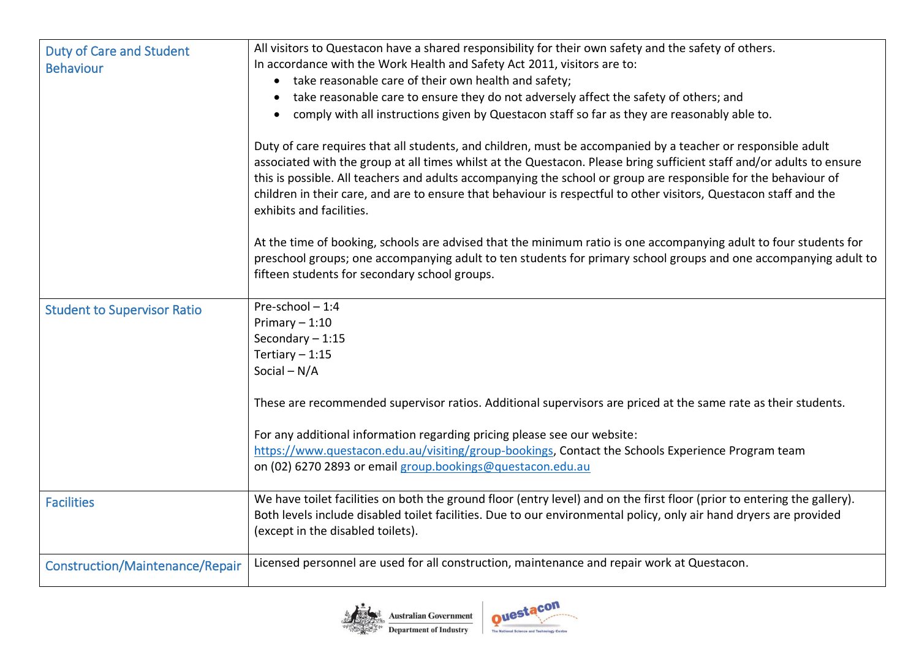| <b>Duty of Care and Student</b><br><b>Behaviour</b> | All visitors to Questacon have a shared responsibility for their own safety and the safety of others.<br>In accordance with the Work Health and Safety Act 2011, visitors are to:<br>• take reasonable care of their own health and safety;<br>• take reasonable care to ensure they do not adversely affect the safety of others; and<br>comply with all instructions given by Questacon staff so far as they are reasonably able to.<br>$\bullet$<br>Duty of care requires that all students, and children, must be accompanied by a teacher or responsible adult<br>associated with the group at all times whilst at the Questacon. Please bring sufficient staff and/or adults to ensure<br>this is possible. All teachers and adults accompanying the school or group are responsible for the behaviour of<br>children in their care, and are to ensure that behaviour is respectful to other visitors, Questacon staff and the<br>exhibits and facilities.<br>At the time of booking, schools are advised that the minimum ratio is one accompanying adult to four students for<br>preschool groups; one accompanying adult to ten students for primary school groups and one accompanying adult to<br>fifteen students for secondary school groups. |
|-----------------------------------------------------|------------------------------------------------------------------------------------------------------------------------------------------------------------------------------------------------------------------------------------------------------------------------------------------------------------------------------------------------------------------------------------------------------------------------------------------------------------------------------------------------------------------------------------------------------------------------------------------------------------------------------------------------------------------------------------------------------------------------------------------------------------------------------------------------------------------------------------------------------------------------------------------------------------------------------------------------------------------------------------------------------------------------------------------------------------------------------------------------------------------------------------------------------------------------------------------------------------------------------------------------------------|
| <b>Student to Supervisor Ratio</b>                  | Pre-school-1:4<br>Primary $-1:10$<br>Secondary $-1:15$<br>Tertiary $-1:15$<br>Social $-N/A$<br>These are recommended supervisor ratios. Additional supervisors are priced at the same rate as their students.<br>For any additional information regarding pricing please see our website:<br>https://www.questacon.edu.au/visiting/group-bookings, Contact the Schools Experience Program team<br>on (02) 6270 2893 or email group.bookings@questacon.edu.au                                                                                                                                                                                                                                                                                                                                                                                                                                                                                                                                                                                                                                                                                                                                                                                               |
| <b>Facilities</b>                                   | We have toilet facilities on both the ground floor (entry level) and on the first floor (prior to entering the gallery).<br>Both levels include disabled toilet facilities. Due to our environmental policy, only air hand dryers are provided<br>(except in the disabled toilets).                                                                                                                                                                                                                                                                                                                                                                                                                                                                                                                                                                                                                                                                                                                                                                                                                                                                                                                                                                        |
| <b>Construction/Maintenance/Repair</b>              | Licensed personnel are used for all construction, maintenance and repair work at Questacon.                                                                                                                                                                                                                                                                                                                                                                                                                                                                                                                                                                                                                                                                                                                                                                                                                                                                                                                                                                                                                                                                                                                                                                |



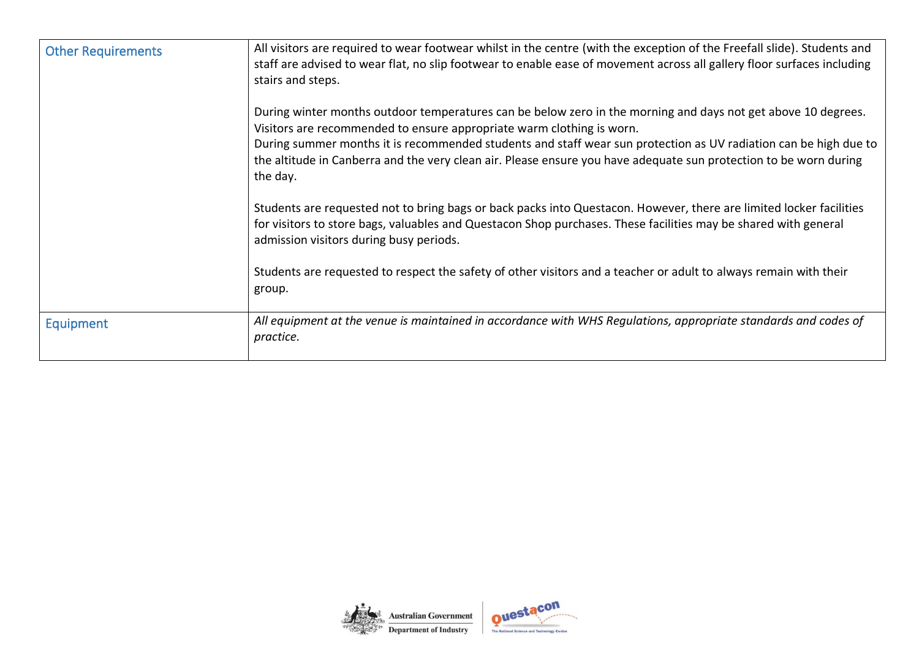| <b>Other Requirements</b> | All visitors are required to wear footwear whilst in the centre (with the exception of the Freefall slide). Students and<br>staff are advised to wear flat, no slip footwear to enable ease of movement across all gallery floor surfaces including<br>stairs and steps.                                                                                                                                                                    |  |  |  |
|---------------------------|---------------------------------------------------------------------------------------------------------------------------------------------------------------------------------------------------------------------------------------------------------------------------------------------------------------------------------------------------------------------------------------------------------------------------------------------|--|--|--|
|                           | During winter months outdoor temperatures can be below zero in the morning and days not get above 10 degrees.<br>Visitors are recommended to ensure appropriate warm clothing is worn.<br>During summer months it is recommended students and staff wear sun protection as UV radiation can be high due to<br>the altitude in Canberra and the very clean air. Please ensure you have adequate sun protection to be worn during<br>the day. |  |  |  |
|                           | Students are requested not to bring bags or back packs into Questacon. However, there are limited locker facilities<br>for visitors to store bags, valuables and Questacon Shop purchases. These facilities may be shared with general<br>admission visitors during busy periods.                                                                                                                                                           |  |  |  |
|                           | Students are requested to respect the safety of other visitors and a teacher or adult to always remain with their<br>group.                                                                                                                                                                                                                                                                                                                 |  |  |  |
| <b>Equipment</b>          | All equipment at the venue is maintained in accordance with WHS Regulations, appropriate standards and codes of<br>practice.                                                                                                                                                                                                                                                                                                                |  |  |  |

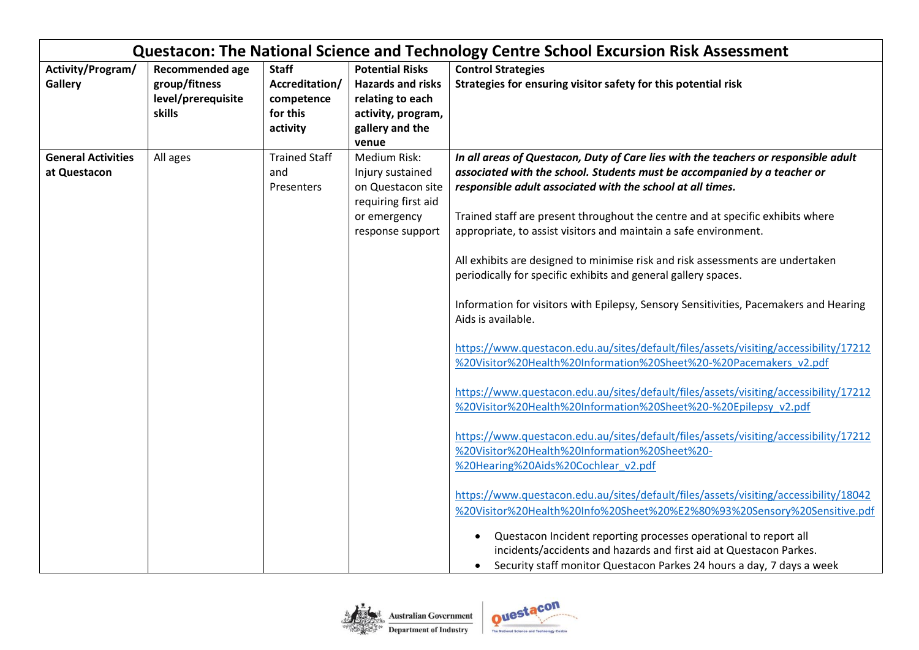|                                           |                                                                  |                                                                      |                                                                                                                          | Questacon: The National Science and Technology Centre School Excursion Risk Assessment                                                                                                                                                                                                                                                                                                                                                                                                                                                                                                                                                                                                                                                                                                                                                                                                                                                                                                                                                                                                                                                                                                                                                                                                                                                                                                                                                                                                                                                                             |
|-------------------------------------------|------------------------------------------------------------------|----------------------------------------------------------------------|--------------------------------------------------------------------------------------------------------------------------|--------------------------------------------------------------------------------------------------------------------------------------------------------------------------------------------------------------------------------------------------------------------------------------------------------------------------------------------------------------------------------------------------------------------------------------------------------------------------------------------------------------------------------------------------------------------------------------------------------------------------------------------------------------------------------------------------------------------------------------------------------------------------------------------------------------------------------------------------------------------------------------------------------------------------------------------------------------------------------------------------------------------------------------------------------------------------------------------------------------------------------------------------------------------------------------------------------------------------------------------------------------------------------------------------------------------------------------------------------------------------------------------------------------------------------------------------------------------------------------------------------------------------------------------------------------------|
| Activity/Program/<br><b>Gallery</b>       | Recommended age<br>group/fitness<br>level/prerequisite<br>skills | <b>Staff</b><br>Accreditation/<br>competence<br>for this<br>activity | <b>Potential Risks</b><br><b>Hazards and risks</b><br>relating to each<br>activity, program,<br>gallery and the<br>venue | <b>Control Strategies</b><br>Strategies for ensuring visitor safety for this potential risk                                                                                                                                                                                                                                                                                                                                                                                                                                                                                                                                                                                                                                                                                                                                                                                                                                                                                                                                                                                                                                                                                                                                                                                                                                                                                                                                                                                                                                                                        |
| <b>General Activities</b><br>at Questacon | All ages                                                         | <b>Trained Staff</b><br>and<br>Presenters                            | Medium Risk:<br>Injury sustained<br>on Questacon site<br>requiring first aid<br>or emergency<br>response support         | In all areas of Questacon, Duty of Care lies with the teachers or responsible adult<br>associated with the school. Students must be accompanied by a teacher or<br>responsible adult associated with the school at all times.<br>Trained staff are present throughout the centre and at specific exhibits where<br>appropriate, to assist visitors and maintain a safe environment.<br>All exhibits are designed to minimise risk and risk assessments are undertaken<br>periodically for specific exhibits and general gallery spaces.<br>Information for visitors with Epilepsy, Sensory Sensitivities, Pacemakers and Hearing<br>Aids is available.<br>https://www.questacon.edu.au/sites/default/files/assets/visiting/accessibility/17212<br>%20Visitor%20Health%20Information%20Sheet%20-%20Pacemakers v2.pdf<br>https://www.questacon.edu.au/sites/default/files/assets/visiting/accessibility/17212<br>%20Visitor%20Health%20Information%20Sheet%20-%20Epilepsy v2.pdf<br>https://www.questacon.edu.au/sites/default/files/assets/visiting/accessibility/17212<br>%20Visitor%20Health%20Information%20Sheet%20-<br>%20Hearing%20Aids%20Cochlear v2.pdf<br>https://www.questacon.edu.au/sites/default/files/assets/visiting/accessibility/18042<br>%20Visitor%20Health%20Info%20Sheet%20%E2%80%93%20Sensory%20Sensitive.pdf<br>Questacon Incident reporting processes operational to report all<br>$\bullet$<br>incidents/accidents and hazards and first aid at Questacon Parkes.<br>Security staff monitor Questacon Parkes 24 hours a day, 7 days a week |

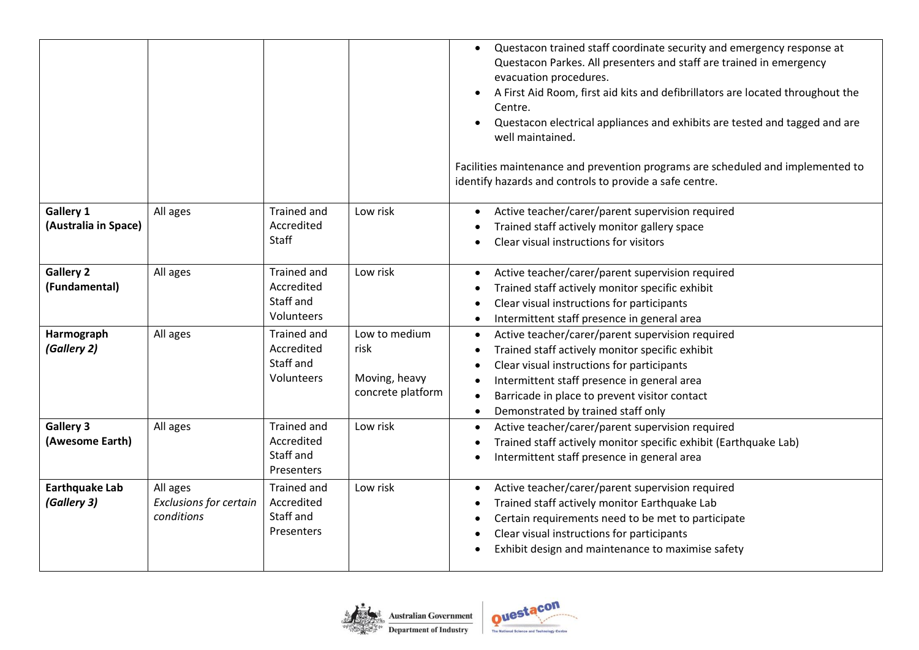|                                          |                                                  |                                                                    |                                                             | Questacon trained staff coordinate security and emergency response at<br>$\bullet$<br>Questacon Parkes. All presenters and staff are trained in emergency<br>evacuation procedures.<br>A First Aid Room, first aid kits and defibrillators are located throughout the<br>Centre.<br>Questacon electrical appliances and exhibits are tested and tagged and are<br>$\bullet$<br>well maintained.<br>Facilities maintenance and prevention programs are scheduled and implemented to<br>identify hazards and controls to provide a safe centre. |
|------------------------------------------|--------------------------------------------------|--------------------------------------------------------------------|-------------------------------------------------------------|-----------------------------------------------------------------------------------------------------------------------------------------------------------------------------------------------------------------------------------------------------------------------------------------------------------------------------------------------------------------------------------------------------------------------------------------------------------------------------------------------------------------------------------------------|
| <b>Gallery 1</b><br>(Australia in Space) | All ages                                         | <b>Trained and</b><br>Accredited<br>Staff                          | Low risk                                                    | Active teacher/carer/parent supervision required<br>$\bullet$<br>Trained staff actively monitor gallery space<br>$\bullet$<br>Clear visual instructions for visitors                                                                                                                                                                                                                                                                                                                                                                          |
| <b>Gallery 2</b><br>(Fundamental)        | All ages                                         | <b>Trained and</b><br>Accredited<br>Staff and<br>Volunteers        | Low risk                                                    | Active teacher/carer/parent supervision required<br>$\bullet$<br>Trained staff actively monitor specific exhibit<br>Clear visual instructions for participants<br>Intermittent staff presence in general area<br>$\bullet$                                                                                                                                                                                                                                                                                                                    |
| Harmograph<br>(Gallery 2)                | All ages                                         | Trained and<br>Accredited<br>Staff and<br>Volunteers               | Low to medium<br>risk<br>Moving, heavy<br>concrete platform | Active teacher/carer/parent supervision required<br>$\bullet$<br>Trained staff actively monitor specific exhibit<br>$\bullet$<br>Clear visual instructions for participants<br>Intermittent staff presence in general area<br>Barricade in place to prevent visitor contact<br>Demonstrated by trained staff only<br>$\bullet$                                                                                                                                                                                                                |
| <b>Gallery 3</b><br>(Awesome Earth)      | All ages                                         | <b>Trained and</b><br>Accredited<br>Staff and<br><b>Presenters</b> | Low risk                                                    | Active teacher/carer/parent supervision required<br>$\bullet$<br>Trained staff actively monitor specific exhibit (Earthquake Lab)<br>$\bullet$<br>Intermittent staff presence in general area                                                                                                                                                                                                                                                                                                                                                 |
| <b>Earthquake Lab</b><br>(Gallery 3)     | All ages<br>Exclusions for certain<br>conditions | Trained and<br>Accredited<br>Staff and<br><b>Presenters</b>        | Low risk                                                    | Active teacher/carer/parent supervision required<br>$\bullet$<br>Trained staff actively monitor Earthquake Lab<br>$\bullet$<br>Certain requirements need to be met to participate<br>$\bullet$<br>Clear visual instructions for participants<br>$\bullet$<br>Exhibit design and maintenance to maximise safety                                                                                                                                                                                                                                |

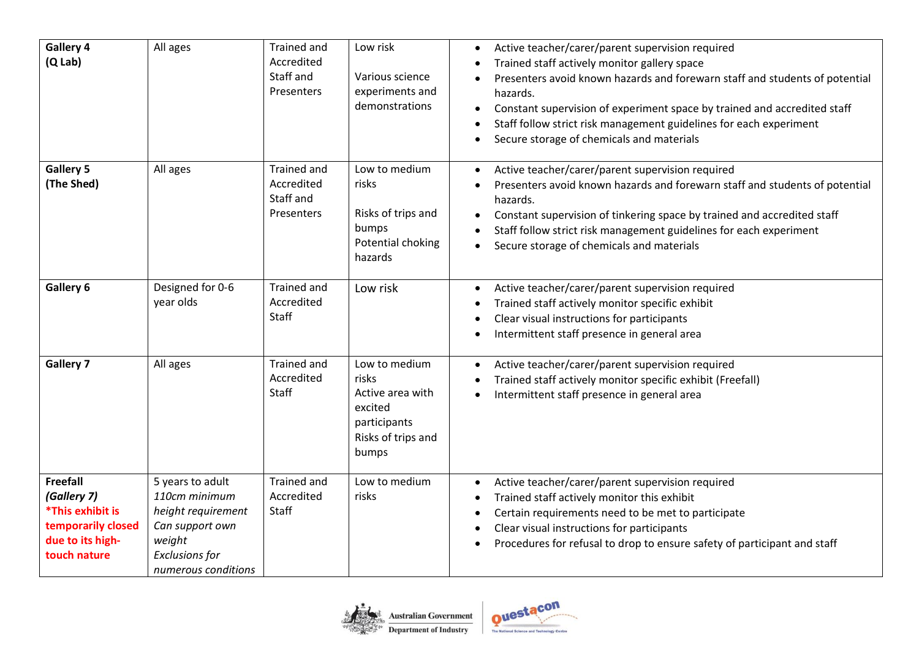| Gallery 4<br>$(Q$ Lab)                                                                                       | All ages                                                                                                                             | Trained and<br>Accredited<br>Staff and<br>Presenters        | Low risk<br>Various science<br>experiments and<br>demonstrations                                     | Active teacher/carer/parent supervision required<br>Trained staff actively monitor gallery space<br>Presenters avoid known hazards and forewarn staff and students of potential<br>hazards.<br>Constant supervision of experiment space by trained and accredited staff<br>Staff follow strict risk management guidelines for each experiment<br>Secure storage of chemicals and materials |
|--------------------------------------------------------------------------------------------------------------|--------------------------------------------------------------------------------------------------------------------------------------|-------------------------------------------------------------|------------------------------------------------------------------------------------------------------|--------------------------------------------------------------------------------------------------------------------------------------------------------------------------------------------------------------------------------------------------------------------------------------------------------------------------------------------------------------------------------------------|
| <b>Gallery 5</b><br>(The Shed)                                                                               | All ages                                                                                                                             | <b>Trained and</b><br>Accredited<br>Staff and<br>Presenters | Low to medium<br>risks<br>Risks of trips and<br>bumps<br>Potential choking<br>hazards                | Active teacher/carer/parent supervision required<br>Presenters avoid known hazards and forewarn staff and students of potential<br>hazards.<br>Constant supervision of tinkering space by trained and accredited staff<br>$\bullet$<br>Staff follow strict risk management guidelines for each experiment<br>Secure storage of chemicals and materials                                     |
| Gallery 6                                                                                                    | Designed for 0-6<br>year olds                                                                                                        | Trained and<br>Accredited<br>Staff                          | Low risk                                                                                             | Active teacher/carer/parent supervision required<br>Trained staff actively monitor specific exhibit<br>Clear visual instructions for participants<br>Intermittent staff presence in general area                                                                                                                                                                                           |
| <b>Gallery 7</b>                                                                                             | All ages                                                                                                                             | Trained and<br>Accredited<br>Staff                          | Low to medium<br>risks<br>Active area with<br>excited<br>participants<br>Risks of trips and<br>bumps | Active teacher/carer/parent supervision required<br>Trained staff actively monitor specific exhibit (Freefall)<br>Intermittent staff presence in general area                                                                                                                                                                                                                              |
| <b>Freefall</b><br>(Gallery 7)<br>*This exhibit is<br>temporarily closed<br>due to its high-<br>touch nature | 5 years to adult<br>110cm minimum<br>height requirement<br>Can support own<br>weight<br><b>Exclusions for</b><br>numerous conditions | <b>Trained and</b><br>Accredited<br>Staff                   | Low to medium<br>risks                                                                               | Active teacher/carer/parent supervision required<br>$\bullet$<br>Trained staff actively monitor this exhibit<br>Certain requirements need to be met to participate<br>Clear visual instructions for participants<br>Procedures for refusal to drop to ensure safety of participant and staff                                                                                               |